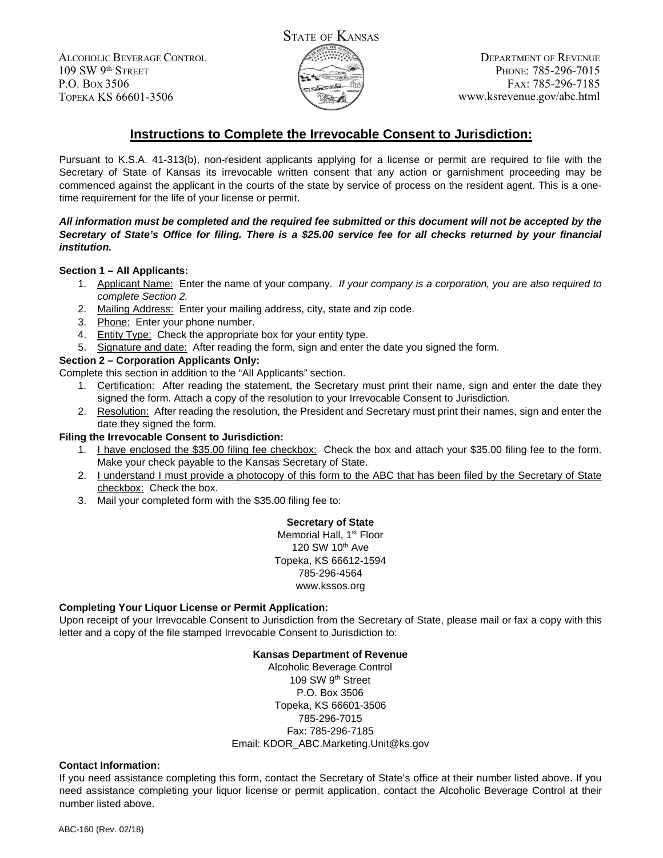ALCOHOLIC BEVERAGE CONTROL 109 SW 9th STREET P.O. BOX 3506 TOPEKA KS 66601-3506



DEPARTMENT OF REVENUE PHONE: 785-296-7015 FAX: 785-296-7185 www.ksrevenue.gov/abc.html

# **Instructions to Complete the Irrevocable Consent to Jurisdiction:**

Pursuant to K.S.A. 41-313(b), non-resident applicants applying for a license or permit are required to file with the Secretary of State of Kansas its irrevocable written consent that any action or garnishment proceeding may be commenced against the applicant in the courts of the state by service of process on the resident agent. This is a onetime requirement for the life of your license or permit.

### *All information must be completed and the required fee submitted or this document will not be accepted by the Secretary of State's Office for filing. There is a \$25.00 service fee for all checks returned by your financial institution.*

## **Section 1 – All Applicants:**

- 1. Applicant Name: Enter the name of your company. *If your company is a corporation, you are also required to complete Section 2.*
- 2. Mailing Address: Enter your mailing address, city, state and zip code.
- 3. Phone: Enter your phone number.
- 4. Entity Type: Check the appropriate box for your entity type.
- 5. Signature and date: After reading the form, sign and enter the date you signed the form.

## **Section 2 – Corporation Applicants Only:**

Complete this section in addition to the "All Applicants" section.

- 1. Certification: After reading the statement, the Secretary must print their name, sign and enter the date they signed the form. Attach a copy of the resolution to your Irrevocable Consent to Jurisdiction.
- 2. Resolution: After reading the resolution, the President and Secretary must print their names, sign and enter the date they signed the form.

#### **Filing the Irrevocable Consent to Jurisdiction:**

- 1. I have enclosed the \$35.00 filing fee checkbox: Check the box and attach your \$35.00 filing fee to the form. Make your check payable to the Kansas Secretary of State.
- 2. I understand I must provide a photocopy of this form to the ABC that has been filed by the Secretary of State checkbox: Check the box.
- 3. Mail your completed form with the \$35.00 filing fee to:

**Secretary of State** Memorial Hall, 1<sup>st</sup> Floor 120 SW 10th Ave Topeka, KS 66612-1594 785-296-4564 www.kssos.org

#### **Completing Your Liquor License or Permit Application:**

Upon receipt of your Irrevocable Consent to Jurisdiction from the Secretary of State, please mail or fax a copy with this letter and a copy of the file stamped Irrevocable Consent to Jurisdiction to:

#### **Kansas Department of Revenue**

Alcoholic Beverage Control 109 SW 9<sup>th</sup> Street P.O. Box 3506 Topeka, KS 66601-3506 785-296-7015 Fax: 785-296-7185 Email: KDOR\_ABC.Marketing.Unit@ks.gov

#### **Contact Information:**

If you need assistance completing this form, contact the Secretary of State's office at their number listed above. If you need assistance completing your liquor license or permit application, contact the Alcoholic Beverage Control at their number listed above.